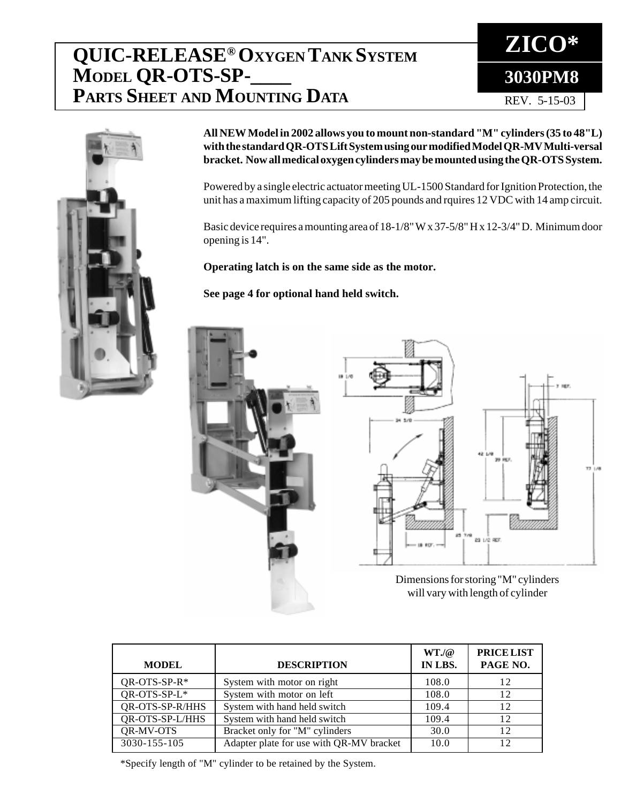## **QUIC-RELEASE® OXYGEN TANK SYSTEM MODEL QR-OTS-SP-\_\_\_\_ PARTS SHEET AND MOUNTING DATA**



REV. 5-15-03



**All NEW Model in 2002 allows you to mount non-standard "M" cylinders (35 to 48"L) with the standard QR-OTS Lift System using our modified Model QR-MV Multi-versal bracket. Now all medical oxygen cylinders may be mounted using the QR-OTS System.**

Powered by a single electric actuator meeting UL-1500 Standard for Ignition Protection, the unit has a maximum lifting capacity of 205 pounds and rquires 12 VDC with 14 amp circuit.

Basic device requires a mounting area of 18-1/8" W x 37-5/8" H x 12-3/4" D. Minimum door opening is 14".

**Operating latch is on the same side as the motor.**

**See page 4 for optional hand held switch.**



| <b>MODEL</b>    | <b>DESCRIPTION</b>                       | $WT_{\cdot}/@$<br>IN LBS. | <b>PRICELIST</b><br>PAGE NO. |
|-----------------|------------------------------------------|---------------------------|------------------------------|
| $QR-OTS-SP-R*$  | System with motor on right               | 108.0                     | 12                           |
| QR-OTS-SP-L*    | System with motor on left                | 108.0                     | 12                           |
| QR-OTS-SP-R/HHS | System with hand held switch             | 109.4                     | 12                           |
| QR-OTS-SP-L/HHS | System with hand held switch             | 109.4                     | 12                           |
| QR-MV-OTS       | Bracket only for "M" cylinders           | 30.0                      | 12                           |
| 3030-155-105    | Adapter plate for use with QR-MV bracket | 10.0                      | 12                           |

\*Specify length of "M" cylinder to be retained by the System.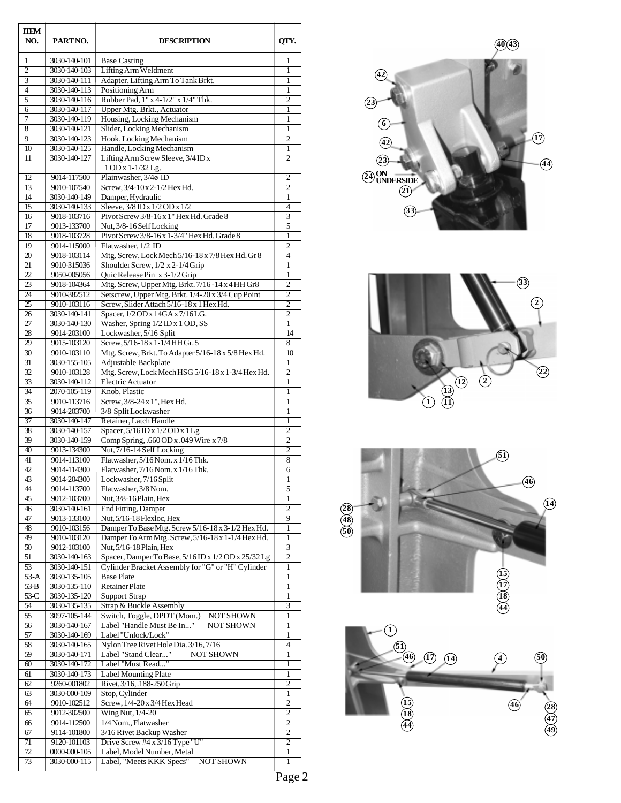| <b>IIEM</b><br>NO.        | PARTNO.                      | <b>DESCRIPTION</b>                                                               | QTY.                    |
|---------------------------|------------------------------|----------------------------------------------------------------------------------|-------------------------|
| 1                         | 3030-140-101                 | <b>Base Casting</b>                                                              | 1                       |
| $\overline{2}$            | 3030-140-103                 | <b>Lifting Arm Weldment</b>                                                      | 1                       |
| $\overline{\overline{3}}$ | 3030-140-111                 | Adapter, Lifting Arm To Tank Brkt.                                               | 1                       |
| 4                         | 3030-140-113                 | Positioning Arm                                                                  | 1                       |
| $\overline{5}$            | 3030-140-116<br>3030-140-117 | Rubber Pad, 1" x 4-1/2" x 1/4" Thk.<br><b>Upper Mtg. Brkt., Actuator</b>         | $\overline{2}$<br>1     |
| 6<br>7                    | 3030-140-119                 | Housing, Locking Mechanism                                                       | 1                       |
| 8                         | 3030-140-121                 | Slider, Locking Mechanism                                                        | $\mathbf{1}$            |
| 9                         | 3030-140-123                 | Hook, Locking Mechanism                                                          | $\overline{c}$          |
| 10                        | 3030-140-125                 | Handle, Locking Mechanism                                                        | $\mathbf{1}$            |
| 11                        | 3030-140-127                 | Lifting Arm Screw Sleeve, 3/4 ID x                                               | $\overline{c}$          |
|                           |                              | 1 OD x 1-1/32 Lg.                                                                |                         |
| $\overline{12}$           | 9014-117500                  | Plainwasher, 3/4ø ID                                                             | 2                       |
| 13<br>14                  | 9010-107540<br>3030-140-149  | Screw, 3/4-10 x 2-1/2 Hex Hd.<br>Damper, Hydraulic                               | $\mathfrak{2}$<br>1     |
| 15                        | 3030-140-133                 | Sleeve, 3/8 ID x 1/2 OD x 1/2                                                    | $\overline{4}$          |
| 16                        | 9018-103716                  | Pivot Screw 3/8-16 x 1" Hex Hd. Grade 8                                          | 3                       |
| 17                        | 9013-133700                  | Nut, 3/8-16 Self Locking                                                         | $\overline{5}$          |
| 18                        | 9018-103728                  | Pivot Screw 3/8-16 x 1-3/4" Hex Hd. Grade 8                                      | $\mathbf{1}$            |
| 19                        | 9014-115000                  | Flatwasher, 1/2 ID                                                               | $\overline{2}$          |
| 20                        | 9018-103114                  | Mtg. Screw, Lock Mech 5/16-18 x 7/8 Hex Hd. Gr 8                                 | $\overline{4}$          |
| 21                        | 9010-315036                  | Shoulder Screw, 1/2 x 2-1/4 Grip                                                 | 1                       |
| 22<br>23                  | 9050-005056                  | Quic Release Pin x 3-1/2 Grip<br>Mtg. Screw, Upper Mtg. Brkt. 7/16-14 x 4 HH Gr8 | 1<br>$\overline{c}$     |
| 24                        | 9018-104364<br>9010-382512   | Setscrew, Upper Mtg. Brkt. 1/4-20 x 3/4 Cup Point                                | 2                       |
| $\overline{25}$           | 9010-103116                  | Screw, Slider Attach 5/16-18 x 1 Hex Hd.                                         | $\overline{2}$          |
| 26                        | 3030-140-141                 | Spacer, 1/2 OD x 14GA x 7/16LG.                                                  | $\mathbf{2}$            |
| $\overline{27}$           | 3030-140-130                 | Washer, Spring 1/2 ID x 1 OD, SS                                                 | $\overline{1}$          |
| 28                        | 9014-203100                  | Lockwasher, 5/16 Split                                                           | 14                      |
| 29                        | 9015-103120                  | Screw, 5/16-18 x 1-1/4 HH Gr. 5                                                  | 8                       |
| 30                        | 9010-103110                  | Mtg. Screw, Brkt. To Adapter 5/16-18 x 5/8 Hex Hd.                               | 10                      |
| 31                        | 3030-155-105                 | Adjustable Backplate                                                             | 1                       |
| 32                        | 9010-103128                  | Mtg. Screw, Lock Mech HSG 5/16-18 x 1-3/4 Hex Hd.                                | $\overline{2}$          |
| $\overline{33}$           | 3030-140-112                 | <b>Electric Actuator</b>                                                         | $\mathbf{1}$            |
| $\overline{34}$           | 2070-105-119                 | Knob, Plastic                                                                    | 1                       |
| 35<br>36                  | 9010-113716<br>9014-203700   | Screw, 3/8-24 x 1", Hex Hd.<br>3/8 Split Lockwasher                              | 1<br>1                  |
| $\overline{37}$           | 3030-140-147                 | Retainer, Latch Handle                                                           | 1                       |
| 38                        | 3030-140-157                 | Spacer, 5/16 ID x 1/2 OD x 1 Lg                                                  | $\overline{2}$          |
| $\overline{39}$           | 3030-140-159                 | Comp Spring, .660 OD x .049 Wire x 7/8                                           | $\overline{2}$          |
| $\overline{40}$           | 9013-134300                  | Nut, 7/16-14 Self Locking                                                        | $\overline{2}$          |
| 41                        | 9014-113100                  | Flatwasher, 5/16 Nom. x 1/16 Thk.                                                | 8                       |
| 42                        | 9014-114300                  | Flatwasher, 7/16 Nom. x 1/16 Thk.                                                | 6                       |
| 43                        | 9014-204300                  | Lockwasher, 7/16 Split                                                           | 1                       |
| 44                        | 9014-113700                  | Flatwasher, 3/8 Nom.                                                             | 5                       |
| $\overline{45}$           | 9012-103700                  | Nut, 3/8-16 Plain, Hex                                                           | 1                       |
| 46<br>47                  | 3030-140-161<br>9013-133100  | <b>End Fitting</b> , Damper<br>Nut, 5/16-18 Flexloc, Hex                         | $\mathbf{2}$<br>9       |
| 48                        | 9010-103156                  | Damper To Base Mtg. Screw 5/16-18 x 3-1/2 Hex Hd.                                | 1                       |
| 49                        | 9010-103120                  | Damper To Arm Mtg. Screw, 5/16-18 x 1-1/4 Hex Hd.                                | 1                       |
| 50                        | 9012-103100                  | Nut, 5/16-18 Plain, Hex                                                          | $\overline{\mathbf{3}}$ |
| 51                        | 3030-140-163                 | Spacer, Damper To Base, 5/16 ID x 1/2 OD x 25/32 Lg                              | $\mathbf{2}$            |
| 53                        | 3030-140-151                 | Cylinder Bracket Assembly for "G" or "H" Cylinder                                | 1                       |
| $53-A$                    | 3030-135-105                 | <b>Base Plate</b>                                                                | 1                       |
| 53-B                      | 3030-135-110                 | Retainer Plate                                                                   | 1                       |
| $53-C$                    | 3030-135-120                 | <b>Support Strap</b>                                                             | 1                       |
| 54                        | 3030-135-135                 | Strap & Buckle Assembly                                                          | 3                       |
| 55                        | 3097-105-144                 | Switch, Toggle, DPDT (Mom.)<br><b>NOT SHOWN</b>                                  | 1                       |
| 56<br>57                  | 3030-140-167<br>3030-140-169 | Label "Handle Must Be In"<br>NOT SHOWN<br>Label "Unlock/Lock"                    | 1<br>1                  |
| 58                        | 3030-140-165                 | Nylon Tree Rivet Hole Dia. 3/16, 7/16                                            | 4                       |
| 59                        | 3030-140-171                 | Label "Stand Clear"<br><b>NOT SHOWN</b>                                          | 1                       |
| 60                        | 3030-140-172                 | Label "Must Read"                                                                | 1                       |
| 61                        | 3030-140-173                 | Label Mounting Plate                                                             | 1                       |
| 62                        | 9260-001802                  | Rivet, 3/16, .188-250 Grip                                                       | 2                       |
| 63                        | 3030-000-109                 | Stop, Cylinder                                                                   | 1                       |
| 64                        | 9010-102512                  | Screw, 1/4-20 x 3/4 Hex Head                                                     | 2                       |
| 65                        | 9012-302500                  | Wing Nut, 1/4-20                                                                 | $\overline{2}$          |
| 66                        | 9014-112500                  | 1/4 Nom., Flatwasher                                                             | $\mathbf{2}$            |
| 67<br>71                  | 9114-101800<br>9120-101103   | 3/16 Rivet Backup Washer<br>Drive Screw #4 x 3/16 Type "U"                       | 2<br>$\overline{2}$     |
| $\overline{72}$           | 0000-000-105                 | Label, Model Number, Metal                                                       | 1                       |
| 73                        | 3030-000-115                 | Label, "Meets KKK Specs"<br><b>NOT SHOWN</b>                                     | 1                       |
|                           |                              |                                                                                  |                         |







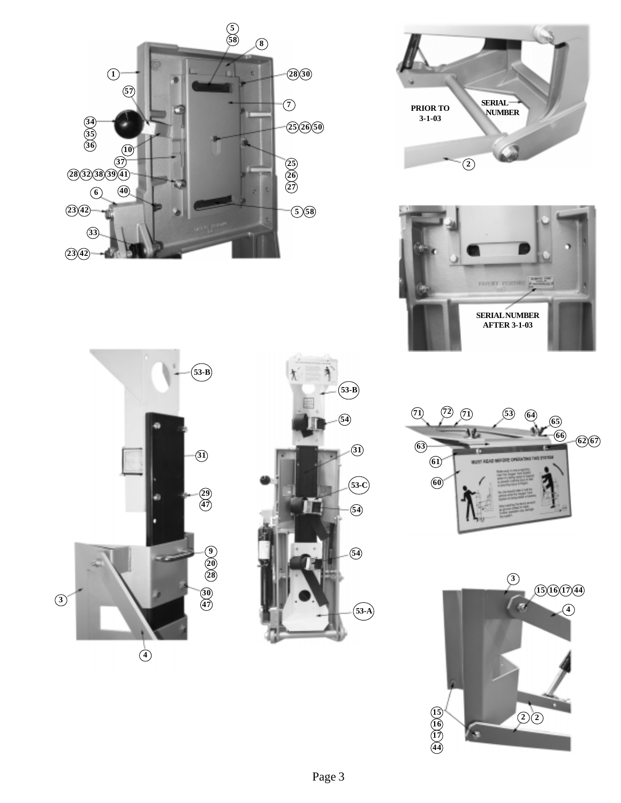